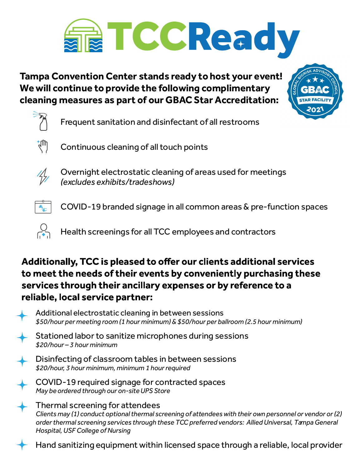

**Tampa Convention Center stands ready to host your event! We will continue to provide the following complimentary cleaning measures as part of our GBAC Star Accreditation:**



Frequent sanitation and disinfectant of all restrooms



Continuous cleaning of all touch points



Overnight electrostatic cleaning of areas used for meetings *(excludes exhibits/tradeshows)*



COVID-19 branded signage in all common areas & pre-function spaces



Health screenings for all TCC employees and contractors

## Additionally, TCC is pleased to offer our clients additional services to meet the needs of their events by conveniently purchasing these services through their ancillary expenses or by reference to a reliable, local service partner:

Additional electrostatic cleaning in between sessions *\$50/hour per meeting room (1 hour minimum) & \$50/hour per ballroom (2.5 hour minimum)*

Stationed labor to sanitize microphones during sessions *\$20/hour – 3 hour minimum*

- Disinfecting of classroom tables in between sessions *\$20/hour, 3 hour minimum, minimum 1 hour required*
- COVID-19 required signage for contracted spaces *May be ordered through our on-site UPS Store*
- Thermal screening for attendees *Clients may (1) conduct optional thermal screening of attendees with their own personnel or vendor or (2) order thermal screening services through these TCC preferred vendors: Allied Universal, Tampa General Hospital, USF College of Nursing*

Hand sanitizing equipment within licensed space through a reliable, local provider